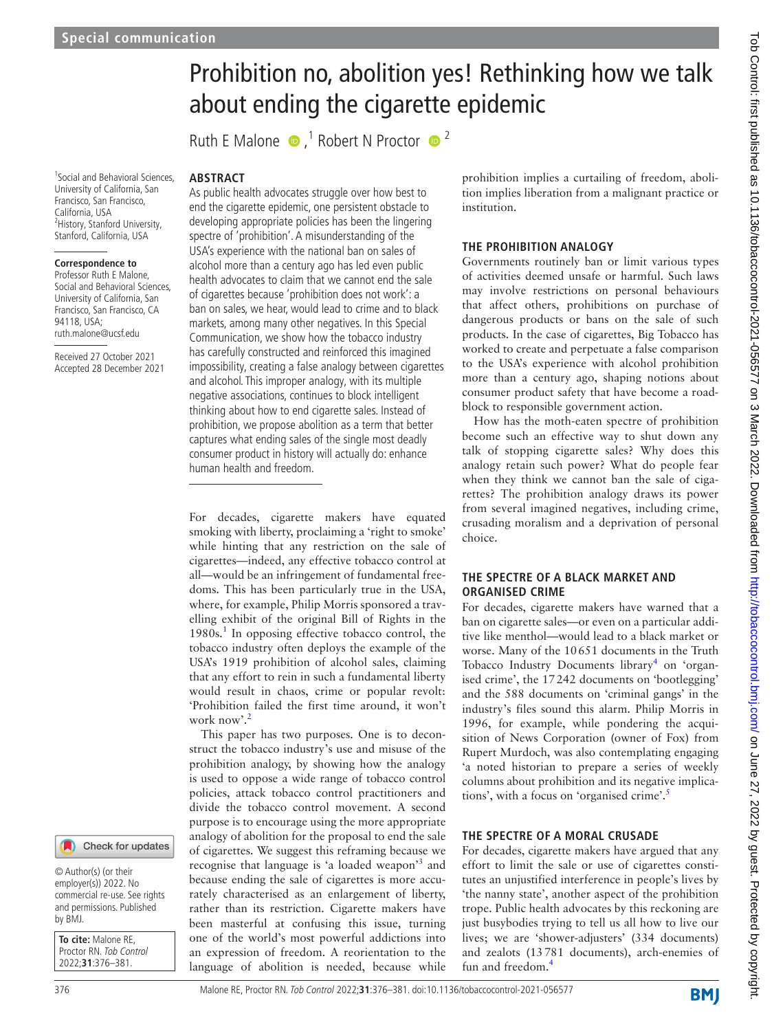# Prohibition no, abolition yes! Rethinking how we talk about ending the cigarette epidemic

RuthE Malone  $\bullet$ ,<sup>1</sup> Robert N Proctor  $\bullet$ <sup>2</sup>

1 Social and Behavioral Sciences, University of California, San Francisco, San Francisco, California, USA <sup>2</sup> History, Stanford University, Stanford, California, USA

#### **Correspondence to**

Professor Ruth E Malone, Social and Behavioral Sciences, University of California, San Francisco, San Francisco, CA 94118, USA; ruth.malone@ucsf.edu

Received 27 October 2021 Accepted 28 December 2021

# **ABSTRACT**

As public health advocates struggle over how best to end the cigarette epidemic, one persistent obstacle to developing appropriate policies has been the lingering spectre of 'prohibition'. A misunderstanding of the USA's experience with the national ban on sales of alcohol more than a century ago has led even public health advocates to claim that we cannot end the sale of cigarettes because 'prohibition does not work': a ban on sales, we hear, would lead to crime and to black markets, among many other negatives. In this Special Communication, we show how the tobacco industry has carefully constructed and reinforced this imagined impossibility, creating a false analogy between cigarettes and alcohol. This improper analogy, with its multiple negative associations, continues to block intelligent thinking about how to end cigarette sales. Instead of prohibition, we propose abolition as a term that better captures what ending sales of the single most deadly consumer product in history will actually do: enhance human health and freedom.

For decades, cigarette makers have equated smoking with liberty, proclaiming a 'right to smoke' while hinting that any restriction on the sale of cigarettes—indeed, any effective tobacco control at all—would be an infringement of fundamental freedoms. This has been particularly true in the USA, where, for example, Philip Morris sponsored a travelling exhibit of the original Bill of Rights in the [1](#page-4-0)980s.<sup>1</sup> In opposing effective tobacco control, the tobacco industry often deploys the example of the USA's 1919 prohibition of alcohol sales, claiming that any effort to rein in such a fundamental liberty would result in chaos, crime or popular revolt: 'Prohibition failed the first time around, it won't work now'.<sup>2</sup>

This paper has two purposes. One is to deconstruct the tobacco industry's use and misuse of the prohibition analogy, by showing how the analogy is used to oppose a wide range of tobacco control policies, attack tobacco control practitioners and divide the tobacco control movement. A second purpose is to encourage using the more appropriate analogy of abolition for the proposal to end the sale of cigarettes. We suggest this reframing because we recognise that language is 'a loaded weapon'<sup>3</sup> and because ending the sale of cigarettes is more accurately characterised as an enlargement of liberty, rather than its restriction. Cigarette makers have been masterful at confusing this issue, turning one of the world's most powerful addictions into an expression of freedom. A reorientation to the language of abolition is needed, because while

prohibition implies a curtailing of freedom, abolition implies liberation from a malignant practice or institution.

#### **THE PROHIBITION ANALOGY**

Governments routinely ban or limit various types of activities deemed unsafe or harmful. Such laws may involve restrictions on personal behaviours that affect others, prohibitions on purchase of dangerous products or bans on the sale of such products. In the case of cigarettes, Big Tobacco has worked to create and perpetuate a false comparison to the USA's experience with alcohol prohibition more than a century ago, shaping notions about consumer product safety that have become a roadblock to responsible government action.

How has the moth-eaten spectre of prohibition become such an effective way to shut down any talk of stopping cigarette sales? Why does this analogy retain such power? What do people fear when they think we cannot ban the sale of cigarettes? The prohibition analogy draws its power from several imagined negatives, including crime, crusading moralism and a deprivation of personal choice.

### **THE SPECTRE OF A BLACK MARKET AND ORGANISED CRIME**

For decades, cigarette makers have warned that a ban on cigarette sales—or even on a particular additive like menthol—would lead to a black market or worse. Many of the 10651 documents in the Truth Tobacco Industry Documents library<sup>[4](#page-4-3)</sup> on 'organised crime', the 17242 documents on 'bootlegging' and the 588 documents on 'criminal gangs' in the industry's files sound this alarm. Philip Morris in 1996, for example, while pondering the acquisition of News Corporation (owner of Fox) from Rupert Murdoch, was also contemplating engaging 'a noted historian to prepare a series of weekly columns about prohibition and its negative implica-tions', with a focus on 'organised crime'.<sup>[5](#page-4-4)</sup>

#### **THE SPECTRE OF A MORAL CRUSADE**

For decades, cigarette makers have argued that any effort to limit the sale or use of cigarettes constitutes an unjustified interference in people's lives by 'the nanny state', another aspect of the prohibition trope. Public health advocates by this reckoning are just busybodies trying to tell us all how to live our lives; we are 'shower-adjusters' (334 documents) and zealots (13781 documents), arch-enemies of fun and freedom.[4](#page-4-3)

Check for updates

© Author(s) (or their employer(s)) 2022. No commercial re-use. See rights and permissions. Published by BMJ.

**To cite:** Malone RE, Proctor RN. Tob Control 2022;**31**:376–381.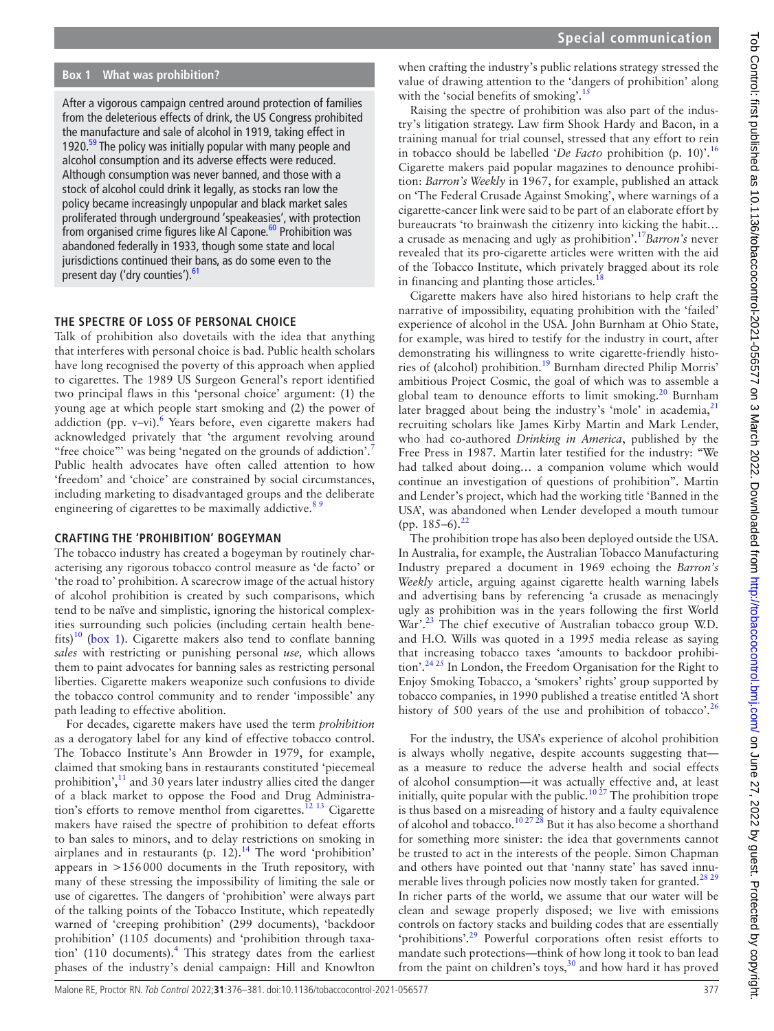### **Box 1 What was prohibition?**

<span id="page-1-0"></span>After a vigorous campaign centred around protection of families from the deleterious effects of drink, the US Congress prohibited the manufacture and sale of alcohol in 1919, taking effect in 1920. $59$  The policy was initially popular with many people and alcohol consumption and its adverse effects were reduced. Although consumption was never banned, and those with a stock of alcohol could drink it legally, as stocks ran low the policy became increasingly unpopular and black market sales proliferated through underground 'speakeasies', with protection from organised crime figures like Al Capone.<sup>60</sup> Prohibition was abandoned federally in 1933, though some state and local jurisdictions continued their bans, as do some even to the present day ('dry counties').<sup>[61](#page-5-2)</sup>

## **THE SPECTRE OF LOSS OF PERSONAL CHOICE**

Talk of prohibition also dovetails with the idea that anything that interferes with personal choice is bad. Public health scholars have long recognised the poverty of this approach when applied to cigarettes. The 1989 US Surgeon General's report identified two principal flaws in this 'personal choice' argument: (1) the young age at which people start smoking and (2) the power of addiction (pp. v-vi). $6$  Years before, even cigarette makers had acknowledged privately that 'the argument revolving around "free choice"' was being 'negated on the grounds of addiction'.<sup>[7](#page-4-6)</sup> Public health advocates have often called attention to how 'freedom' and 'choice' are constrained by social circumstances, including marketing to disadvantaged groups and the deliberate engineering of cigarettes to be maximally addictive.<sup>89</sup>

## **CRAFTING THE 'PROHIBITION' BOGEYMAN**

The tobacco industry has created a bogeyman by routinely characterising any rigorous tobacco control measure as 'de facto' or 'the road to' prohibition. A scarecrow image of the actual history of alcohol prohibition is created by such comparisons, which tend to be naïve and simplistic, ignoring the historical complexities surrounding such policies (including certain health bene-fits)<sup>[10](#page-4-8)</sup> [\(box](#page-1-0) 1). Cigarette makers also tend to conflate banning *sales* with restricting or punishing personal *use,* which allows them to paint advocates for banning sales as restricting personal liberties. Cigarette makers weaponize such confusions to divide the tobacco control community and to render 'impossible' any path leading to effective abolition.

For decades, cigarette makers have used the term *prohibition* as a derogatory label for any kind of effective tobacco control. The Tobacco Institute's Ann Browder in 1979, for example, claimed that smoking bans in restaurants constituted 'piecemeal prohibition', $\frac{11}{11}$  $\frac{11}{11}$  $\frac{11}{11}$  and 30 years later industry allies cited the danger of a black market to oppose the Food and Drug Administration's efforts to remove menthol from cigarettes.<sup>12</sup> <sup>13</sup> Cigarette makers have raised the spectre of prohibition to defeat efforts to ban sales to minors, and to delay restrictions on smoking in airplanes and in restaurants (p.  $12$ ).<sup>14</sup> The word 'prohibition' appears in >156000 documents in the Truth repository, with many of these stressing the impossibility of limiting the sale or use of cigarettes. The dangers of 'prohibition' were always part of the talking points of the Tobacco Institute, which repeatedly warned of 'creeping prohibition' (299 documents), 'backdoor prohibition' (1105 documents) and 'prohibition through taxation' (110 documents). $4$  This strategy dates from the earliest phases of the industry's denial campaign: Hill and Knowlton

when crafting the industry's public relations strategy stressed the value of drawing attention to the 'dangers of prohibition' along with the 'social benefits of smoking'.<sup>15</sup>

Raising the spectre of prohibition was also part of the industry's litigation strategy. Law firm Shook Hardy and Bacon, in a training manual for trial counsel, stressed that any effort to rein in tobacco should be labelled '*De Facto* prohibition (p. 10)'.[16](#page-4-13) Cigarette makers paid popular magazines to denounce prohibition: *Barron's Weekly* in 1967, for example, published an attack on 'The Federal Crusade Against Smoking', where warnings of a cigarette-cancer link were said to be part of an elaborate effort by bureaucrats 'to brainwash the citizenry into kicking the habit… a crusade as menacing and ugly as prohibition'.[17](#page-4-14)*Barron's* never revealed that its pro-cigarette articles were written with the aid of the Tobacco Institute, which privately bragged about its role in financing and planting those articles.<sup>18</sup>

Cigarette makers have also hired historians to help craft the narrative of impossibility, equating prohibition with the 'failed' experience of alcohol in the USA. John Burnham at Ohio State, for example, was hired to testify for the industry in court, after demonstrating his willingness to write cigarette-friendly histories of (alcohol) prohibition.[19](#page-4-16) Burnham directed Philip Morris' ambitious Project Cosmic, the goal of which was to assemble a global team to denounce efforts to limit smoking.<sup>20</sup> Burnham later bragged about being the industry's 'mole' in academia, $21$ recruiting scholars like James Kirby Martin and Mark Lender, who had co-authored *Drinking in America*, published by the Free Press in 1987. Martin later testified for the industry: "We had talked about doing… a companion volume which would continue an investigation of questions of prohibition". Martin and Lender's project, which had the working title 'Banned in the USA', was abandoned when Lender developed a mouth tumour (pp.  $185-6$ ).<sup>[22](#page-4-19)</sup>

The prohibition trope has also been deployed outside the USA. In Australia, for example, the Australian Tobacco Manufacturing Industry prepared a document in 1969 echoing the *Barron's Weekly* article, arguing against cigarette health warning labels and advertising bans by referencing 'a crusade as menacingly ugly as prohibition was in the years following the first World War'.<sup>[23](#page-4-20)</sup> The chief executive of Australian tobacco group W.D. and H.O. Wills was quoted in a 1995 media release as saying that increasing tobacco taxes 'amounts to backdoor prohibition'.<sup>24 25</sup> In London, the Freedom Organisation for the Right to Enjoy Smoking Tobacco, a 'smokers' rights' group supported by tobacco companies, in 1990 published a treatise entitled 'A short history of 500 years of the use and prohibition of tobacco'.<sup>[26](#page-4-22)</sup>

For the industry, the USA's experience of alcohol prohibition is always wholly negative, despite accounts suggesting that as a measure to reduce the adverse health and social effects of alcohol consumption—it was actually effective and, at least initially, quite popular with the public.<sup>[10 27](#page-4-8)</sup> The prohibition trope is thus based on a misreading of history and a faulty equivalence of alcohol and tobacco.<sup>10 27 28</sup> But it has also become a shorthand for something more sinister: the idea that governments cannot be trusted to act in the interests of the people. Simon Chapman and others have pointed out that 'nanny state' has saved innu-merable lives through policies now mostly taken for granted.<sup>[28 29](#page-4-23)</sup> In richer parts of the world, we assume that our water will be clean and sewage properly disposed; we live with emissions controls on factory stacks and building codes that are essentially 'prohibitions'.[29](#page-4-24) Powerful corporations often resist efforts to mandate such protections—think of how long it took to ban lead from the paint on children's toys, $30$  and how hard it has proved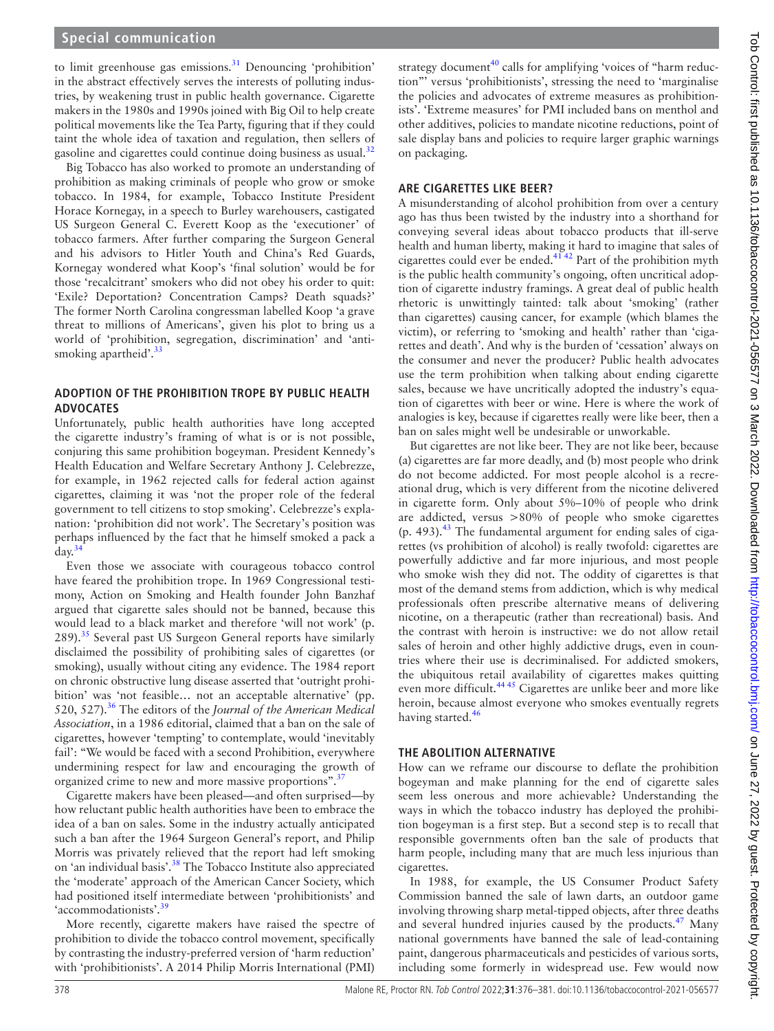to limit greenhouse gas emissions. $31$  Denouncing 'prohibition' in the abstract effectively serves the interests of polluting industries, by weakening trust in public health governance. Cigarette makers in the 1980s and 1990s joined with Big Oil to help create political movements like the Tea Party, figuring that if they could taint the whole idea of taxation and regulation, then sellers of gasoline and cigarettes could continue doing business as usual.<sup>[32](#page-4-27)</sup>

Big Tobacco has also worked to promote an understanding of prohibition as making criminals of people who grow or smoke tobacco. In 1984, for example, Tobacco Institute President Horace Kornegay, in a speech to Burley warehousers, castigated US Surgeon General C. Everett Koop as the 'executioner' of tobacco farmers. After further comparing the Surgeon General and his advisors to Hitler Youth and China's Red Guards, Kornegay wondered what Koop's 'final solution' would be for those 'recalcitrant' smokers who did not obey his order to quit: 'Exile? Deportation? Concentration Camps? Death squads?' The former North Carolina congressman labelled Koop 'a grave threat to millions of Americans', given his plot to bring us a world of 'prohibition, segregation, discrimination' and 'antismoking apartheid'. $33$ 

## **ADOPTION OF THE PROHIBITION TROPE BY PUBLIC HEALTH ADVOCATES**

Unfortunately, public health authorities have long accepted the cigarette industry's framing of what is or is not possible, conjuring this same prohibition bogeyman. President Kennedy's Health Education and Welfare Secretary Anthony J. Celebrezze, for example, in 1962 rejected calls for federal action against cigarettes, claiming it was 'not the proper role of the federal government to tell citizens to stop smoking'. Celebrezze's explanation: 'prohibition did not work'. The Secretary's position was perhaps influenced by the fact that he himself smoked a pack a day. $34$ 

Even those we associate with courageous tobacco control have feared the prohibition trope. In 1969 Congressional testimony, Action on Smoking and Health founder John Banzhaf argued that cigarette sales should not be banned, because this would lead to a black market and therefore 'will not work' (p.  $289$ ).<sup>[35](#page-5-5)</sup> Several past US Surgeon General reports have similarly disclaimed the possibility of prohibiting sales of cigarettes (or smoking), usually without citing any evidence. The 1984 report on chronic obstructive lung disease asserted that 'outright prohibition' was 'not feasible… not an acceptable alternative' (pp. 520, 527).[36](#page-5-6) The editors of the *Journal of the American Medical Association*, in a 1986 editorial, claimed that a ban on the sale of cigarettes, however 'tempting' to contemplate, would 'inevitably fail': "We would be faced with a second Prohibition, everywhere undermining respect for law and encouraging the growth of organized crime to new and more massive proportions".<sup>[37](#page-5-7)</sup>

Cigarette makers have been pleased—and often surprised—by how reluctant public health authorities have been to embrace the idea of a ban on sales. Some in the industry actually anticipated such a ban after the 1964 Surgeon General's report, and Philip Morris was privately relieved that the report had left smoking on 'an individual basis'.<sup>38</sup> The Tobacco Institute also appreciated the 'moderate' approach of the American Cancer Society, which had positioned itself intermediate between 'prohibitionists' and 'accommodationists'.<sup>39</sup>

More recently, cigarette makers have raised the spectre of prohibition to divide the tobacco control movement, specifically by contrasting the industry-preferred version of 'harm reduction' with 'prohibitionists'. A 2014 Philip Morris International (PMI)

strategy document<sup>[40](#page-5-10)</sup> calls for amplifying 'voices of "harm reduction"' versus 'prohibitionists', stressing the need to 'marginalise the policies and advocates of extreme measures as prohibitionists'. 'Extreme measures' for PMI included bans on menthol and other additives, policies to mandate nicotine reductions, point of sale display bans and policies to require larger graphic warnings on packaging.

## **ARE CIGARETTES LIKE BEER?**

A misunderstanding of alcohol prohibition from over a century ago has thus been twisted by the industry into a shorthand for conveying several ideas about tobacco products that ill-serve health and human liberty, making it hard to imagine that sales of cigarettes could ever be ended.[41 42](#page-5-11) Part of the prohibition myth is the public health community's ongoing, often uncritical adoption of cigarette industry framings. A great deal of public health rhetoric is unwittingly tainted: talk about 'smoking' (rather than cigarettes) causing cancer, for example (which blames the victim), or referring to 'smoking and health' rather than 'cigarettes and death'. And why is the burden of 'cessation' always on the consumer and never the producer? Public health advocates use the term prohibition when talking about ending cigarette sales, because we have uncritically adopted the industry's equation of cigarettes with beer or wine. Here is where the work of analogies is key, because if cigarettes really were like beer, then a ban on sales might well be undesirable or unworkable.

But cigarettes are not like beer. They are not like beer, because (a) cigarettes are far more deadly, and (b) most people who drink do not become addicted. For most people alcohol is a recreational drug, which is very different from the nicotine delivered in cigarette form. Only about 5%–10% of people who drink are addicted, versus >80% of people who smoke cigarettes  $(p. 493).$ <sup>[43](#page-5-12)</sup> The fundamental argument for ending sales of cigarettes (vs prohibition of alcohol) is really twofold: cigarettes are powerfully addictive and far more injurious, and most people who smoke wish they did not. The oddity of cigarettes is that most of the demand stems from addiction, which is why medical professionals often prescribe alternative means of delivering nicotine, on a therapeutic (rather than recreational) basis. And the contrast with heroin is instructive: we do not allow retail sales of heroin and other highly addictive drugs, even in countries where their use is decriminalised. For addicted smokers, the ubiquitous retail availability of cigarettes makes quitting even more difficult.<sup>44 45</sup> Cigarettes are unlike beer and more like heroin, because almost everyone who smokes eventually regrets having started.<sup>[46](#page-5-14)</sup>

## **THE ABOLITION ALTERNATIVE**

How can we reframe our discourse to deflate the prohibition bogeyman and make planning for the end of cigarette sales seem less onerous and more achievable? Understanding the ways in which the tobacco industry has deployed the prohibition bogeyman is a first step. But a second step is to recall that responsible governments often ban the sale of products that harm people, including many that are much less injurious than cigarettes.

In 1988, for example, the US Consumer Product Safety Commission banned the sale of lawn darts, an outdoor game involving throwing sharp metal-tipped objects, after three deaths and several hundred injuries caused by the products.<sup>47</sup> Many national governments have banned the sale of lead-containing paint, dangerous pharmaceuticals and pesticides of various sorts, including some formerly in widespread use. Few would now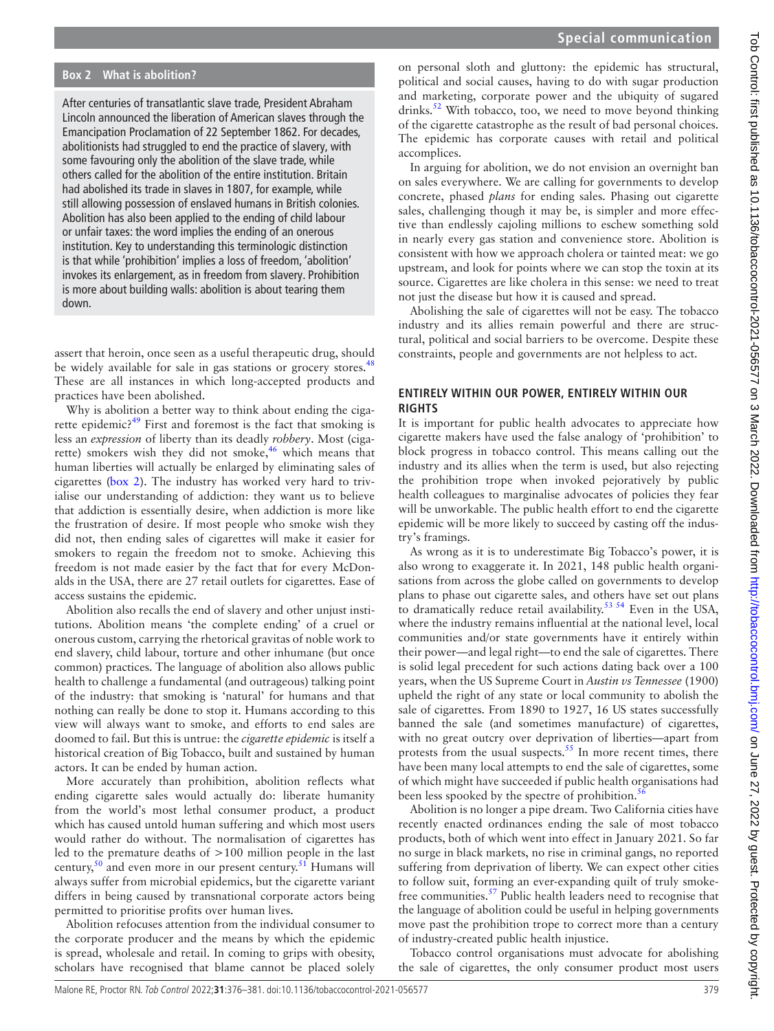## **Box 2 What is abolition?**

<span id="page-3-0"></span>After centuries of transatlantic slave trade, President Abraham Lincoln announced the liberation of American slaves through the Emancipation Proclamation of 22 September 1862. For decades, abolitionists had struggled to end the practice of slavery, with some favouring only the abolition of the slave trade, while others called for the abolition of the entire institution. Britain had abolished its trade in slaves in 1807, for example, while still allowing possession of enslaved humans in British colonies. Abolition has also been applied to the ending of child labour or unfair taxes: the word implies the ending of an onerous institution. Key to understanding this terminologic distinction is that while 'prohibition' implies a loss of freedom, 'abolition' invokes its enlargement, as in freedom from slavery. Prohibition is more about building walls: abolition is about tearing them down.

assert that heroin, once seen as a useful therapeutic drug, should be widely available for sale in gas stations or grocery stores.<sup>[48](#page-5-16)</sup> These are all instances in which long-accepted products and practices have been abolished.

Why is abolition a better way to think about ending the cigarette epidemic?[49](#page-5-17) First and foremost is the fact that smoking is less an *expression* of liberty than its deadly *robbery*. Most (ciga-rette) smokers wish they did not smoke,<sup>[46](#page-5-14)</sup> which means that human liberties will actually be enlarged by eliminating sales of cigarettes ([box](#page-3-0) 2). The industry has worked very hard to trivialise our understanding of addiction: they want us to believe that addiction is essentially desire, when addiction is more like the frustration of desire. If most people who smoke wish they did not, then ending sales of cigarettes will make it easier for smokers to regain the freedom not to smoke. Achieving this freedom is not made easier by the fact that for every McDonalds in the USA, there are 27 retail outlets for cigarettes. Ease of access sustains the epidemic.

Abolition also recalls the end of slavery and other unjust institutions. Abolition means 'the complete ending' of a cruel or onerous custom, carrying the rhetorical gravitas of noble work to end slavery, child labour, torture and other inhumane (but once common) practices. The language of abolition also allows public health to challenge a fundamental (and outrageous) talking point of the industry: that smoking is 'natural' for humans and that nothing can really be done to stop it. Humans according to this view will always want to smoke, and efforts to end sales are doomed to fail. But this is untrue: the *cigarette epidemic* is itself a historical creation of Big Tobacco, built and sustained by human actors. It can be ended by human action.

More accurately than prohibition, abolition reflects what ending cigarette sales would actually do: liberate humanity from the world's most lethal consumer product, a product which has caused untold human suffering and which most users would rather do without. The normalisation of cigarettes has led to the premature deaths of >100 million people in the last century,<sup>[50](#page-5-18)</sup> and even more in our present century.<sup>[51](#page-5-19)</sup> Humans will always suffer from microbial epidemics, but the cigarette variant differs in being caused by transnational corporate actors being permitted to prioritise profits over human lives.

Abolition refocuses attention from the individual consumer to the corporate producer and the means by which the epidemic is spread, wholesale and retail. In coming to grips with obesity, scholars have recognised that blame cannot be placed solely

on personal sloth and gluttony: the epidemic has structural, political and social causes, having to do with sugar production and marketing, corporate power and the ubiquity of sugared drinks.<sup>52</sup> With tobacco, too, we need to move beyond thinking of the cigarette catastrophe as the result of bad personal choices. The epidemic has corporate causes with retail and political accomplices.

In arguing for abolition, we do not envision an overnight ban on sales everywhere. We are calling for governments to develop concrete, phased *plans* for ending sales. Phasing out cigarette sales, challenging though it may be, is simpler and more effective than endlessly cajoling millions to eschew something sold in nearly every gas station and convenience store. Abolition is consistent with how we approach cholera or tainted meat: we go upstream, and look for points where we can stop the toxin at its source. Cigarettes are like cholera in this sense: we need to treat not just the disease but how it is caused and spread.

Abolishing the sale of cigarettes will not be easy. The tobacco industry and its allies remain powerful and there are structural, political and social barriers to be overcome. Despite these constraints, people and governments are not helpless to act.

#### **ENTIRELY WITHIN OUR POWER, ENTIRELY WITHIN OUR RIGHTS**

It is important for public health advocates to appreciate how cigarette makers have used the false analogy of 'prohibition' to block progress in tobacco control. This means calling out the industry and its allies when the term is used, but also rejecting the prohibition trope when invoked pejoratively by public health colleagues to marginalise advocates of policies they fear will be unworkable. The public health effort to end the cigarette epidemic will be more likely to succeed by casting off the industry's framings.

As wrong as it is to underestimate Big Tobacco's power, it is also wrong to exaggerate it. In 2021, 148 public health organisations from across the globe called on governments to develop plans to phase out cigarette sales, and others have set out plans to dramatically reduce retail availability.<sup>53 54</sup> Even in the USA, where the industry remains influential at the national level, local communities and/or state governments have it entirely within their power—and legal right—to end the sale of cigarettes. There is solid legal precedent for such actions dating back over a 100 years, when the US Supreme Court in *Austin vs Tennessee* (1900) upheld the right of any state or local community to abolish the sale of cigarettes. From 1890 to 1927, 16 US states successfully banned the sale (and sometimes manufacture) of cigarettes, with no great outcry over deprivation of liberties—apart from protests from the usual suspects. $55$  In more recent times, there have been many local attempts to end the sale of cigarettes, some of which might have succeeded if public health organisations had been less spooked by the spectre of prohibition.<sup>[56](#page-5-23)</sup>

Abolition is no longer a pipe dream. Two California cities have recently enacted ordinances ending the sale of most tobacco products, both of which went into effect in January 2021. So far no surge in black markets, no rise in criminal gangs, no reported suffering from deprivation of liberty. We can expect other cities to follow suit, forming an ever-expanding quilt of truly smokefree communities.<sup>57</sup> Public health leaders need to recognise that the language of abolition could be useful in helping governments move past the prohibition trope to correct more than a century of industry-created public health injustice.

Tobacco control organisations must advocate for abolishing the sale of cigarettes, the only consumer product most users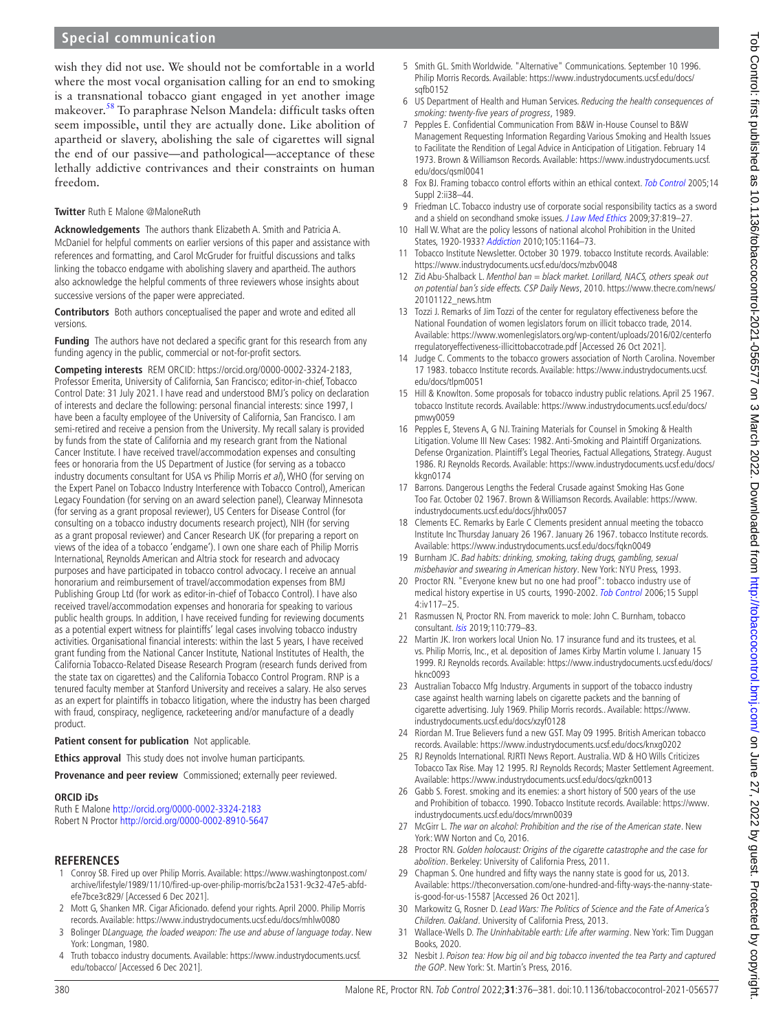## **Special communication**

wish they did not use. We should not be comfortable in a world where the most vocal organisation calling for an end to smoking is a transnational tobacco giant engaged in yet another image makeover.<sup>[58](#page-5-25)</sup> To paraphrase Nelson Mandela: difficult tasks often seem impossible, until they are actually done. Like abolition of apartheid or slavery, abolishing the sale of cigarettes will signal the end of our passive—and pathological—acceptance of these lethally addictive contrivances and their constraints on human freedom.

#### **Twitter** Ruth E Malone [@MaloneRuth](https://twitter.com/MaloneRuth)

**Acknowledgements** The authors thank Elizabeth A. Smith and Patricia A. McDaniel for helpful comments on earlier versions of this paper and assistance with references and formatting, and Carol McGruder for fruitful discussions and talks linking the tobacco endgame with abolishing slavery and apartheid. The authors also acknowledge the helpful comments of three reviewers whose insights about successive versions of the paper were appreciated.

**Contributors** Both authors conceptualised the paper and wrote and edited all versions.

**Funding** The authors have not declared a specific grant for this research from any funding agency in the public, commercial or not-for-profit sectors.

**Competing interests** REM ORCID:<https://orcid.org/0000-0002-3324-2183>, Professor Emerita, University of California, San Francisco; editor-in-chief, Tobacco Control Date: 31 July 2021. I have read and understood BMJ's policy on declaration of interests and declare the following: personal financial interests: since 1997, I have been a faculty employee of the University of California, San Francisco. I am semi-retired and receive a pension from the University. My recall salary is provided by funds from the state of California and my research grant from the National Cancer Institute. I have received travel/accommodation expenses and consulting fees or honoraria from the US Department of Justice (for serving as a tobacco industry documents consultant for USA vs Philip Morris et al), WHO (for serving on the Expert Panel on Tobacco Industry Interference with Tobacco Control), American Legacy Foundation (for serving on an award selection panel), Clearway Minnesota (for serving as a grant proposal reviewer), US Centers for Disease Control (for consulting on a tobacco industry documents research project), NIH (for serving as a grant proposal reviewer) and Cancer Research UK (for preparing a report on views of the idea of a tobacco 'endgame'). I own one share each of Philip Morris International, Reynolds American and Altria stock for research and advocacy purposes and have participated in tobacco control advocacy. I receive an annual honorarium and reimbursement of travel/accommodation expenses from BMJ Publishing Group Ltd (for work as editor-in-chief of Tobacco Control). I have also received travel/accommodation expenses and honoraria for speaking to various public health groups. In addition, I have received funding for reviewing documents as a potential expert witness for plaintiffs' legal cases involving tobacco industry activities. Organisational financial interests: within the last 5 years, I have received grant funding from the National Cancer Institute, National Institutes of Health, the California Tobacco-Related Disease Research Program (research funds derived from the state tax on cigarettes) and the California Tobacco Control Program. RNP is a tenured faculty member at Stanford University and receives a salary. He also serves as an expert for plaintiffs in tobacco litigation, where the industry has been charged with fraud, conspiracy, negligence, racketeering and/or manufacture of a deadly product.

#### **Patient consent for publication** Not applicable.

**Ethics approval** This study does not involve human participants.

Provenance and peer review Commissioned; externally peer reviewed.

#### **ORCID iDs**

Ruth E Malone <http://orcid.org/0000-0002-3324-2183> Robert N Proctor <http://orcid.org/0000-0002-8910-5647>

#### **REFERENCES**

- <span id="page-4-0"></span>1 Conroy SB. Fired up over Philip Morris. Available: [https://www.washingtonpost.com/](https://www.washingtonpost.com/archive/lifestyle/1989/11/10/fired-up-over-philip-morris/bc2a1531-9c32-47e5-abfd-efe7bce3c829/) [archive/lifestyle/1989/11/10/fired-up-over-philip-morris/bc2a1531-9c32-47e5-abfd](https://www.washingtonpost.com/archive/lifestyle/1989/11/10/fired-up-over-philip-morris/bc2a1531-9c32-47e5-abfd-efe7bce3c829/)[efe7bce3c829/](https://www.washingtonpost.com/archive/lifestyle/1989/11/10/fired-up-over-philip-morris/bc2a1531-9c32-47e5-abfd-efe7bce3c829/) [Accessed 6 Dec 2021].
- <span id="page-4-1"></span>2 Mott G, Shanken MR. Cigar Aficionado. defend your rights. April 2000. Philip Morris records. Available:<https://www.industrydocuments.ucsf.edu/docs/mhlw0080>
- <span id="page-4-2"></span>3 Bolinger DLanguage, the loaded weapon: The use and abuse of language today. New York: Longman, 1980.
- <span id="page-4-3"></span>4 Truth tobacco industry documents. Available: [https://www.industrydocuments.ucsf.](https://www.industrydocuments.ucsf.edu/tobacco/) [edu/tobacco/](https://www.industrydocuments.ucsf.edu/tobacco/) [Accessed 6 Dec 2021].
- <span id="page-4-4"></span>5 Smith GL. Smith Worldwide. "Alternative" Communications. September 10 1996. Philip Morris Records. Available: [https://www.industrydocuments.ucsf.edu/docs/](https://www.industrydocuments.ucsf.edu/docs/sqfb0152) [sqfb0152](https://www.industrydocuments.ucsf.edu/docs/sqfb0152)
- <span id="page-4-5"></span>6 US Department of Health and Human Services. Reducing the health consequences of smoking: twenty-five years of progress, 1989.
- <span id="page-4-6"></span>7 Pepples E. Confidential Communication From B&W in-House Counsel to B&W Management Requesting Information Regarding Various Smoking and Health Issues to Facilitate the Rendition of Legal Advice in Anticipation of Litigation. February 14 1973. Brown & Williamson Records. Available: [https://www.industrydocuments.ucsf.](https://www.industrydocuments.ucsf.edu/docs/qsml0041) [edu/docs/qsml0041](https://www.industrydocuments.ucsf.edu/docs/qsml0041)
- <span id="page-4-7"></span>8 Fox BJ. Framing tobacco control efforts within an ethical context. [Tob Control](http://dx.doi.org/10.1136/tc.2004.008300) 2005;14 Suppl 2:ii38–44.
- 9 Friedman LC. Tobacco industry use of corporate social responsibility tactics as a sword and a shield on secondhand smoke issues. [J Law Med Ethics](http://dx.doi.org/10.1111/j.1748-720X.2009.00453.x) 2009;37:819-27.
- <span id="page-4-8"></span>10 Hall W. What are the policy lessons of national alcohol Prohibition in the United States, 1920-1933? [Addiction](http://dx.doi.org/10.1111/j.1360-0443.2010.02926.x) 2010;105:1164–73.
- <span id="page-4-9"></span>11 Tobacco Institute Newsletter. October 30 1979. tobacco Institute records. Available: <https://www.industrydocuments.ucsf.edu/docs/mzbv0048>
- <span id="page-4-10"></span>12 Zid Abu-Shalback L. Menthol ban = black market. Lorillard, NACS, others speak out on potential ban's side effects. CSP Daily News, 2010. [https://www.thecre.com/news/](https://www.thecre.com/news/20101122_news.htm) [20101122\\_news.htm](https://www.thecre.com/news/20101122_news.htm)
- 13 Tozzi J. Remarks of Jim Tozzi of the center for regulatory effectiveness before the National Foundation of women legislators forum on illicit tobacco trade, 2014. Available: [https://www.womenlegislators.org/wp-content/uploads/2016/02/centerfo](https://www.womenlegislators.org/wp-content/uploads/2016/02/centerforregulatoryeffectiveness-illicittobaccotrade.pdf) [rregulatoryeffectiveness-illicittobaccotrade.pdf](https://www.womenlegislators.org/wp-content/uploads/2016/02/centerforregulatoryeffectiveness-illicittobaccotrade.pdf) [Accessed 26 Oct 2021].
- <span id="page-4-11"></span>14 Judge C. Comments to the tobacco growers association of North Carolina. November 17 1983. tobacco Institute records. Available: [https://www.industrydocuments.ucsf.](https://www.industrydocuments.ucsf.edu/docs/tlpm0051) [edu/docs/tlpm0051](https://www.industrydocuments.ucsf.edu/docs/tlpm0051)
- <span id="page-4-12"></span>15 Hill & Knowlton. Some proposals for tobacco industry public relations. April 25 1967. tobacco Institute records. Available: [https://www.industrydocuments.ucsf.edu/docs/](https://www.industrydocuments.ucsf.edu/docs/pmwy0059) [pmwy0059](https://www.industrydocuments.ucsf.edu/docs/pmwy0059)
- <span id="page-4-13"></span>16 Pepples E, Stevens A, G NJ. Training Materials for Counsel in Smoking & Health Litigation. Volume III New Cases: 1982. Anti-Smoking and Plaintiff Organizations. Defense Organization. Plaintiff's Legal Theories, Factual Allegations, Strategy. August 1986. RJ Reynolds Records. Available: [https://www.industrydocuments.ucsf.edu/docs/](https://www.industrydocuments.ucsf.edu/docs/kkgn0174) [kkgn0174](https://www.industrydocuments.ucsf.edu/docs/kkgn0174)
- <span id="page-4-14"></span>17 Barrons. Dangerous Lengths the Federal Crusade against Smoking Has Gone Too Far. October 02 1967. Brown & Williamson Records. Available: [https://www.](https://www.industrydocuments.ucsf.edu/docs/jhhx0057) [industrydocuments.ucsf.edu/docs/jhhx0057](https://www.industrydocuments.ucsf.edu/docs/jhhx0057)
- <span id="page-4-15"></span>18 Clements EC. Remarks by Earle C Clements president annual meeting the tobacco Institute Inc Thursday January 26 1967. January 26 1967. tobacco Institute records. Available:<https://www.industrydocuments.ucsf.edu/docs/fqkn0049>
- <span id="page-4-16"></span>19 Burnham JC. Bad habits: drinking, smoking, taking drugs, gambling, sexual misbehavior and swearing in American history. New York: NYU Press, 1993.
- <span id="page-4-17"></span>20 Proctor RN. "Everyone knew but no one had proof": tobacco industry use of medical history expertise in US courts, 1990-2002. [Tob Control](http://dx.doi.org/10.1136/tc.2004.009928) 2006;15 Suppl 4:iv117–25.
- <span id="page-4-18"></span>21 Rasmussen N, Proctor RN. From maverick to mole: John C. Burnham, tobacco consultant. **[Isis](http://dx.doi.org/10.1086/706611)** 2019;110:779-83.
- <span id="page-4-19"></span>Martin JK. Iron workers local Union No. 17 insurance fund and its trustees, et al. vs. Philip Morris, Inc., et al. deposition of James Kirby Martin volume I. January 15 1999. RJ Reynolds records. Available: [https://www.industrydocuments.ucsf.edu/docs/](https://www.industrydocuments.ucsf.edu/docs/hknc0093) [hknc0093](https://www.industrydocuments.ucsf.edu/docs/hknc0093)
- <span id="page-4-20"></span>23 Australian Tobacco Mfg Industry. Arguments in support of the tobacco industry case against health warning labels on cigarette packets and the banning of cigarette advertising. July 1969. Philip Morris records.. Available: [https://www.](https://www.industrydocuments.ucsf.edu/docs/xzyf0128) [industrydocuments.ucsf.edu/docs/xzyf0128](https://www.industrydocuments.ucsf.edu/docs/xzyf0128)
- <span id="page-4-21"></span>24 Riordan M. True Believers fund a new GST. May 09 1995. British American tobacco records. Available: <https://www.industrydocuments.ucsf.edu/docs/knxg0202>
- 25 RJ Reynolds International. RJRTI News Report. Australia. WD & HO Wills Criticizes Tobacco Tax Rise. May 12 1995. RJ Reynolds Records; Master Settlement Agreement. Available:<https://www.industrydocuments.ucsf.edu/docs/qzkn0013>
- <span id="page-4-22"></span>26 Gabb S. Forest. smoking and its enemies: a short history of 500 years of the use and Prohibition of tobacco. 1990. Tobacco Institute records. Available: [https://www.](https://www.industrydocuments.ucsf.edu/docs/mrwn0039) [industrydocuments.ucsf.edu/docs/mrwn0039](https://www.industrydocuments.ucsf.edu/docs/mrwn0039)
- 27 McGirr L. The war on alcohol: Prohibition and the rise of the American state. New York: WW Norton and Co, 2016.
- <span id="page-4-23"></span>28 Proctor RN. Golden holocaust: Origins of the cigarette catastrophe and the case for abolition. Berkeley: University of California Press, 2011.
- <span id="page-4-24"></span>29 Chapman S. One hundred and fifty ways the nanny state is good for us, 2013. Available: [https://theconversation.com/one-hundred-and-fifty-ways-the-nanny-state](https://theconversation.com/one-hundred-and-fifty-ways-the-nanny-state-is-good-for-us-15587)[is-good-for-us-15587](https://theconversation.com/one-hundred-and-fifty-ways-the-nanny-state-is-good-for-us-15587) [Accessed 26 Oct 2021].
- <span id="page-4-25"></span>30 Markowitz G, Rosner D. Lead Wars: The Politics of Science and the Fate of America's Children. Oakland. University of California Press, 2013.
- <span id="page-4-26"></span>31 Wallace-Wells D. The Uninhabitable earth: Life after warming. New York: Tim Duggan Books, 2020.
- <span id="page-4-27"></span>32 Nesbit J. Poison tea: How big oil and big tobacco invented the tea Party and captured the GOP. New York: St. Martin's Press, 2016.